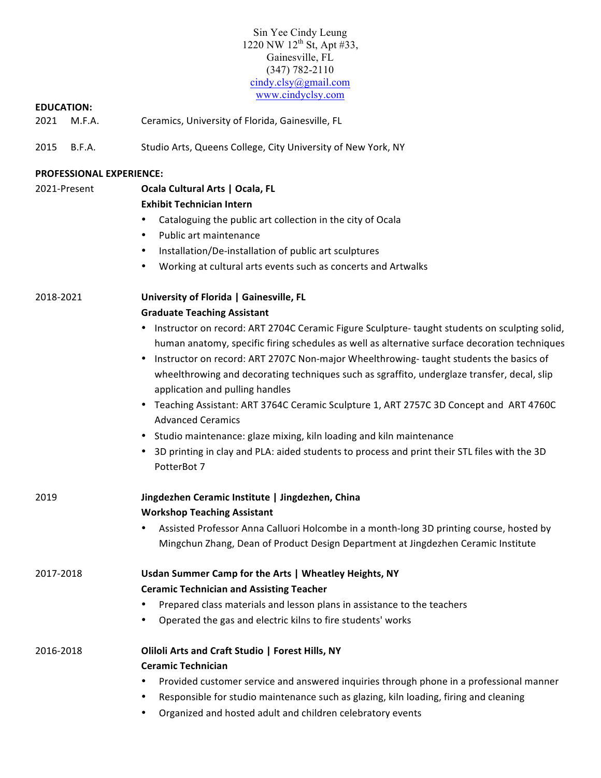# Sin Yee Cindy Leung 1220 NW 12<sup>th</sup> St, Apt #33, Gainesville, FL (347) 782-2110 cindy.clsy@gmail.com www.cindyclsy.com

### **EDUCATION:**

- 2021 M.F.A. Ceramics, University of Florida, Gainesville, FL
- 2015 B.F.A. Studio Arts, Queens College, City University of New York, NY

| <b>PROFESSIONAL EXPERIENCE:</b> |                                                                                                                                                                                                                                                                                                                                                                                                                                                                                                                                                                                                                                                                                                                                             |
|---------------------------------|---------------------------------------------------------------------------------------------------------------------------------------------------------------------------------------------------------------------------------------------------------------------------------------------------------------------------------------------------------------------------------------------------------------------------------------------------------------------------------------------------------------------------------------------------------------------------------------------------------------------------------------------------------------------------------------------------------------------------------------------|
| 2021-Present                    | Ocala Cultural Arts   Ocala, FL                                                                                                                                                                                                                                                                                                                                                                                                                                                                                                                                                                                                                                                                                                             |
|                                 | <b>Exhibit Technician Intern</b>                                                                                                                                                                                                                                                                                                                                                                                                                                                                                                                                                                                                                                                                                                            |
|                                 | Cataloguing the public art collection in the city of Ocala<br>٠                                                                                                                                                                                                                                                                                                                                                                                                                                                                                                                                                                                                                                                                             |
|                                 | Public art maintenance<br>٠                                                                                                                                                                                                                                                                                                                                                                                                                                                                                                                                                                                                                                                                                                                 |
|                                 | Installation/De-installation of public art sculptures<br>٠                                                                                                                                                                                                                                                                                                                                                                                                                                                                                                                                                                                                                                                                                  |
|                                 | Working at cultural arts events such as concerts and Artwalks<br>$\bullet$                                                                                                                                                                                                                                                                                                                                                                                                                                                                                                                                                                                                                                                                  |
| 2018-2021                       | University of Florida   Gainesville, FL                                                                                                                                                                                                                                                                                                                                                                                                                                                                                                                                                                                                                                                                                                     |
|                                 | <b>Graduate Teaching Assistant</b>                                                                                                                                                                                                                                                                                                                                                                                                                                                                                                                                                                                                                                                                                                          |
|                                 | • Instructor on record: ART 2704C Ceramic Figure Sculpture- taught students on sculpting solid,<br>human anatomy, specific firing schedules as well as alternative surface decoration techniques<br>Instructor on record: ART 2707C Non-major Wheelthrowing- taught students the basics of<br>wheelthrowing and decorating techniques such as sgraffito, underglaze transfer, decal, slip<br>application and pulling handles<br>• Teaching Assistant: ART 3764C Ceramic Sculpture 1, ART 2757C 3D Concept and ART 4760C<br><b>Advanced Ceramics</b><br>• Studio maintenance: glaze mixing, kiln loading and kiln maintenance<br>3D printing in clay and PLA: aided students to process and print their STL files with the 3D<br>PotterBot 7 |
| 2019                            | Jingdezhen Ceramic Institute   Jingdezhen, China<br><b>Workshop Teaching Assistant</b>                                                                                                                                                                                                                                                                                                                                                                                                                                                                                                                                                                                                                                                      |
|                                 | Assisted Professor Anna Calluori Holcombe in a month-long 3D printing course, hosted by                                                                                                                                                                                                                                                                                                                                                                                                                                                                                                                                                                                                                                                     |
|                                 | Mingchun Zhang, Dean of Product Design Department at Jingdezhen Ceramic Institute                                                                                                                                                                                                                                                                                                                                                                                                                                                                                                                                                                                                                                                           |
| 2017-2018                       | Usdan Summer Camp for the Arts   Wheatley Heights, NY                                                                                                                                                                                                                                                                                                                                                                                                                                                                                                                                                                                                                                                                                       |
|                                 | <b>Ceramic Technician and Assisting Teacher</b>                                                                                                                                                                                                                                                                                                                                                                                                                                                                                                                                                                                                                                                                                             |
|                                 | Prepared class materials and lesson plans in assistance to the teachers<br>٠                                                                                                                                                                                                                                                                                                                                                                                                                                                                                                                                                                                                                                                                |
|                                 | Operated the gas and electric kilns to fire students' works                                                                                                                                                                                                                                                                                                                                                                                                                                                                                                                                                                                                                                                                                 |
| 2016-2018                       | Oliloli Arts and Craft Studio   Forest Hills, NY                                                                                                                                                                                                                                                                                                                                                                                                                                                                                                                                                                                                                                                                                            |
|                                 | <b>Ceramic Technician</b>                                                                                                                                                                                                                                                                                                                                                                                                                                                                                                                                                                                                                                                                                                                   |
|                                 | Provided customer service and answered inquiries through phone in a professional manner                                                                                                                                                                                                                                                                                                                                                                                                                                                                                                                                                                                                                                                     |
|                                 | Responsible for studio maintenance such as glazing, kiln loading, firing and cleaning                                                                                                                                                                                                                                                                                                                                                                                                                                                                                                                                                                                                                                                       |

• Organized and hosted adult and children celebratory events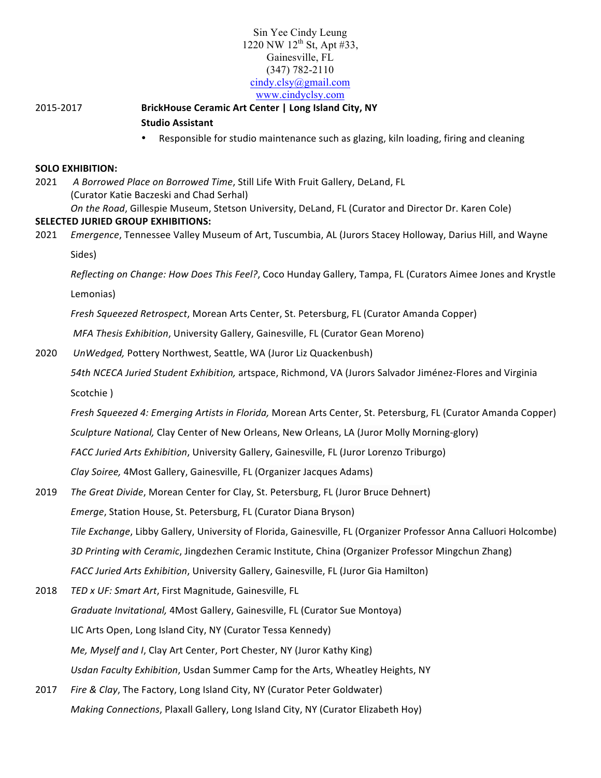# Sin Yee Cindy Leung 1220 NW  $12^{th}$  St, Apt #33, Gainesville, FL (347) 782-2110 cindy.clsy@gmail.com www.cindyclsy.com

# 2015-2017 **BrickHouse Ceramic Art Center | Long Island City, NY Studio Assistant**

Responsible for studio maintenance such as glazing, kiln loading, firing and cleaning

#### **SOLO EXHIBITION:**

2021 A Borrowed Place on Borrowed Time, Still Life With Fruit Gallery, DeLand, FL (Curator Katie Baczeski and Chad Serhal) *On the Road*, Gillespie Museum, Stetson University, DeLand, FL (Curator and Director Dr. Karen Cole) **SELECTED JURIED GROUP EXHIBITIONS:** 

2021 *Emergence*, Tennessee Valley Museum of Art, Tuscumbia, AL (Jurors Stacey Holloway, Darius Hill, and Wayne Sides)

*Reflecting on Change: How Does This Feel?*, Coco Hunday Gallery, Tampa, FL (Curators Aimee Jones and Krystle

Lemonias) 

*Fresh Squeezed Retrospect*, Morean Arts Center, St. Petersburg, FL (Curator Amanda Copper)

*MFA Thesis Exhibition*, University Gallery, Gainesville, FL (Curator Gean Moreno)

2020 *UnWedged, Pottery Northwest, Seattle, WA (Juror Liz Quackenbush)* 

*54th NCECA Juried Student Exhibition,* artspace, Richmond, VA (Jurors Salvador Jiménez-Flores and Virginia Scotchie )

*Fresh Squeezed 4: Emerging Artists in Florida,* Morean Arts Center, St. Petersburg, FL (Curator Amanda Copper)

Sculpture National, Clay Center of New Orleans, New Orleans, LA (Juror Molly Morning-glory)

FACC Juried Arts Exhibition, University Gallery, Gainesville, FL (Juror Lorenzo Triburgo)

*Clay Soiree,* 4Most Gallery, Gainesville, FL (Organizer Jacques Adams)

- 2019 *The Great Divide*, Morean Center for Clay, St. Petersburg, FL (Juror Bruce Dehnert) *Emerge*, Station House, St. Petersburg, FL (Curator Diana Bryson) *Tile Exchange*, Libby Gallery, University of Florida, Gainesville, FL (Organizer Professor Anna Calluori Holcombe) 3D Printing with Ceramic, Jingdezhen Ceramic Institute, China (Organizer Professor Mingchun Zhang) *FACC Juried Arts Exhibition*, University Gallery, Gainesville, FL (Juror Gia Hamilton)
- 2018 TED x UF: Smart Art, First Magnitude, Gainesville, FL *Graduate Invitational,* 4Most Gallery, Gainesville, FL (Curator Sue Montoya) LIC Arts Open, Long Island City, NY (Curator Tessa Kennedy) *Me, Myself and I, Clay Art Center, Port Chester, NY (Juror Kathy King)* Usdan Faculty Exhibition, Usdan Summer Camp for the Arts, Wheatley Heights, NY
- 2017 *Fire & Clay*, The Factory, Long Island City, NY (Curator Peter Goldwater) *Making Connections*, Plaxall Gallery, Long Island City, NY (Curator Elizabeth Hoy)